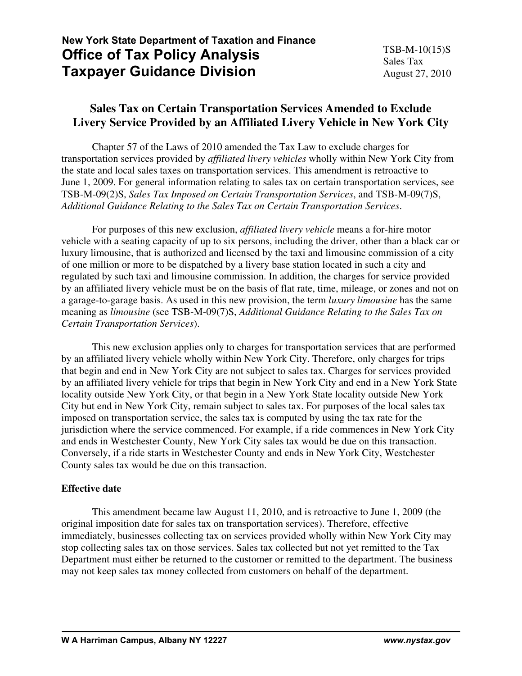# **New York State Department of Taxation and Finance Office of Tax Policy Analysis Taxpayer Guidance Division**

## **Sales Tax on Certain Transportation Services Amended to Exclude Livery Service Provided by an Affiliated Livery Vehicle in New York City**

 Chapter 57 of the Laws of 2010 amended the Tax Law to exclude charges for transportation services provided by *affiliated livery vehicles* wholly within New York City from the state and local sales taxes on transportation services. This amendment is retroactive to June 1, 2009. For general information relating to sales tax on certain transportation services, see TSB-M-09(2)S, *Sales Tax Imposed on Certain Transportation Services*, and TSB-M-09(7)S, *Additional Guidance Relating to the Sales Tax on Certain Transportation Services*.

 For purposes of this new exclusion, *affiliated livery vehicle* means a for-hire motor vehicle with a seating capacity of up to six persons, including the driver, other than a black car or luxury limousine, that is authorized and licensed by the taxi and limousine commission of a city of one million or more to be dispatched by a livery base station located in such a city and regulated by such taxi and limousine commission. In addition, the charges for service provided by an affiliated livery vehicle must be on the basis of flat rate, time, mileage, or zones and not on a garage-to-garage basis. As used in this new provision, the term *luxury limousine* has the same meaning as *limousine* (see TSB-M-09(7)S, *Additional Guidance Relating to the Sales Tax on Certain Transportation Services*).

 This new exclusion applies only to charges for transportation services that are performed by an affiliated livery vehicle wholly within New York City. Therefore, only charges for trips that begin and end in New York City are not subject to sales tax. Charges for services provided by an affiliated livery vehicle for trips that begin in New York City and end in a New York State locality outside New York City, or that begin in a New York State locality outside New York City but end in New York City, remain subject to sales tax. For purposes of the local sales tax imposed on transportation service, the sales tax is computed by using the tax rate for the jurisdiction where the service commenced. For example, if a ride commences in New York City and ends in Westchester County, New York City sales tax would be due on this transaction. Conversely, if a ride starts in Westchester County and ends in New York City, Westchester County sales tax would be due on this transaction.

## **Effective date**

 This amendment became law August 11, 2010, and is retroactive to June 1, 2009 (the original imposition date for sales tax on transportation services). Therefore, effective immediately, businesses collecting tax on services provided wholly within New York City may stop collecting sales tax on those services. Sales tax collected but not yet remitted to the Tax Department must either be returned to the customer or remitted to the department. The business may not keep sales tax money collected from customers on behalf of the department.